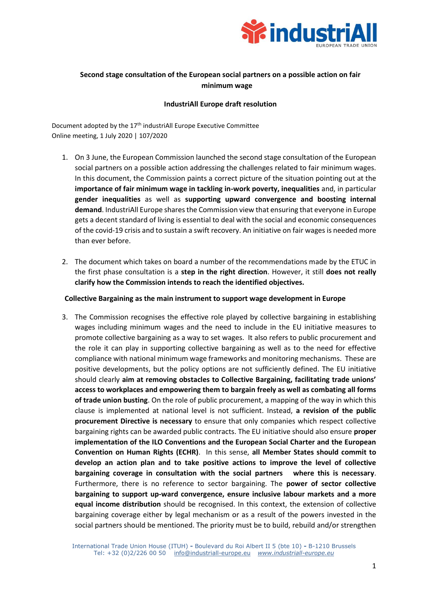

# **Second stage consultation of the European social partners on a possible action on fair minimum wage**

# **IndustriAll Europe draft resolution**

Document adopted by the 17<sup>th</sup> industriAll Europe Executive Committee Online meeting, 1 July 2020 | 107/2020

- 1. On 3 June, the European Commission launched the second stage consultation of the European social partners on a possible action addressing the challenges related to fair minimum wages. In this document, the Commission paints a correct picture of the situation pointing out at the **importance of fair minimum wage in tackling in-work poverty, inequalities** and, in particular **gender inequalities** as well as **supporting upward convergence and boosting internal demand**. IndustriAll Europe shares the Commission view that ensuring that everyone in Europe gets a decent standard of living is essential to deal with the social and economic consequences of the covid-19 crisis and to sustain a swift recovery. An initiative on fair wages is needed more than ever before.
- 2. The document which takes on board a number of the recommendations made by the ETUC in the first phase consultation is a **step in the right direction**. However, it still **does not really clarify how the Commission intends to reach the identified objectives.**

## **Collective Bargaining as the main instrument to support wage development in Europe**

3. The Commission recognises the effective role played by collective bargaining in establishing wages including minimum wages and the need to include in the EU initiative measures to promote collective bargaining as a way to set wages. It also refers to public procurement and the role it can play in supporting collective bargaining as well as to the need for effective compliance with national minimum wage frameworks and monitoring mechanisms. These are positive developments, but the policy options are not sufficiently defined. The EU initiative should clearly **aim at removing obstacles to Collective Bargaining, facilitating trade unions' access to workplaces and empowering them to bargain freely as well as combating all forms of trade union busting**. On the role of public procurement, a mapping of the way in which this clause is implemented at national level is not sufficient. Instead, **a revision of the public procurement Directive is necessary** to ensure that only companies which respect collective bargaining rights can be awarded public contracts. The EU initiative should also ensure **proper implementation of the ILO Conventions and the European Social Charter and the European Convention on Human Rights (ECHR)**. In this sense, **all Member States should commit to develop an action plan and to take positive actions to improve the level of collective bargaining coverage in consultation with the social partners where this is necessary**. Furthermore, there is no reference to sector bargaining. The **power of sector collective bargaining to support up-ward convergence, ensure inclusive labour markets and a more equal income distribution** should be recognised. In this context, the extension of collective bargaining coverage either by legal mechanism or as a result of the powers invested in the social partners should be mentioned. The priority must be to build, rebuild and/or strengthen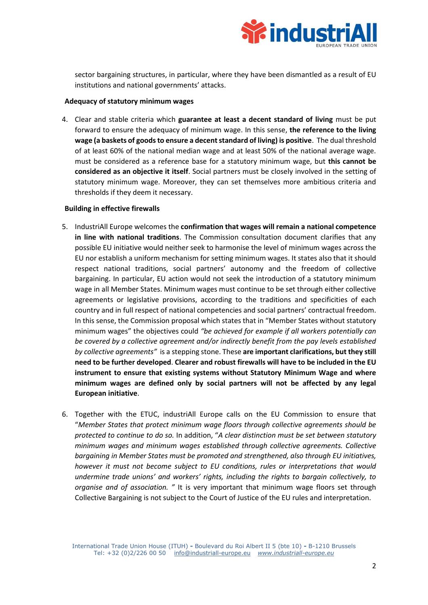

sector bargaining structures, in particular, where they have been dismantled as a result of EU institutions and national governments' attacks.

#### **Adequacy of statutory minimum wages**

4. Clear and stable criteria which **guarantee at least a decent standard of living** must be put forward to ensure the adequacy of minimum wage. In this sense, **the reference to the living wage (a baskets of goods to ensure a decent standard of living) is positive**. The dual threshold of at least 60% of the national median wage and at least 50% of the national average wage. must be considered as a reference base for a statutory minimum wage, but **this cannot be considered as an objective it itself**. Social partners must be closely involved in the setting of statutory minimum wage. Moreover, they can set themselves more ambitious criteria and thresholds if they deem it necessary.

# **Building in effective firewalls**

- 5. IndustriAll Europe welcomes the **confirmation that wages will remain a national competence in line with national traditions**. The Commission consultation document clarifies that any possible EU initiative would neither seek to harmonise the level of minimum wages across the EU nor establish a uniform mechanism for setting minimum wages. It states also that it should respect national traditions, social partners' autonomy and the freedom of collective bargaining. In particular, EU action would not seek the introduction of a statutory minimum wage in all Member States. Minimum wages must continue to be set through either collective agreements or legislative provisions, according to the traditions and specificities of each country and in full respect of national competencies and social partners' contractual freedom. In this sense, the Commission proposal which states that in "Member States without statutory minimum wages" the objectives could *"be achieved for example if all workers potentially can be covered by a collective agreement and/or indirectly benefit from the pay levels established by collective agreements"* is a stepping stone. These **are important clarifications, but they still need to be further developed**. **Clearer and robust firewalls will have to be included in the EU instrument to ensure that existing systems without Statutory Minimum Wage and where minimum wages are defined only by social partners will not be affected by any legal European initiative**.
- 6. Together with the ETUC, industriAll Europe calls on the EU Commission to ensure that "*Member States that protect minimum wage floors through collective agreements should be protected to continue to do so.* In addition, "*A clear distinction must be set between statutory minimum wages and minimum wages established through collective agreements. Collective bargaining in Member States must be promoted and strengthened, also through EU initiatives, however it must not become subject to EU conditions, rules or interpretations that would undermine trade unions' and workers' rights, including the rights to bargain collectively, to organise and of association. "* It is very important that minimum wage floors set through Collective Bargaining is not subject to the Court of Justice of the EU rules and interpretation.